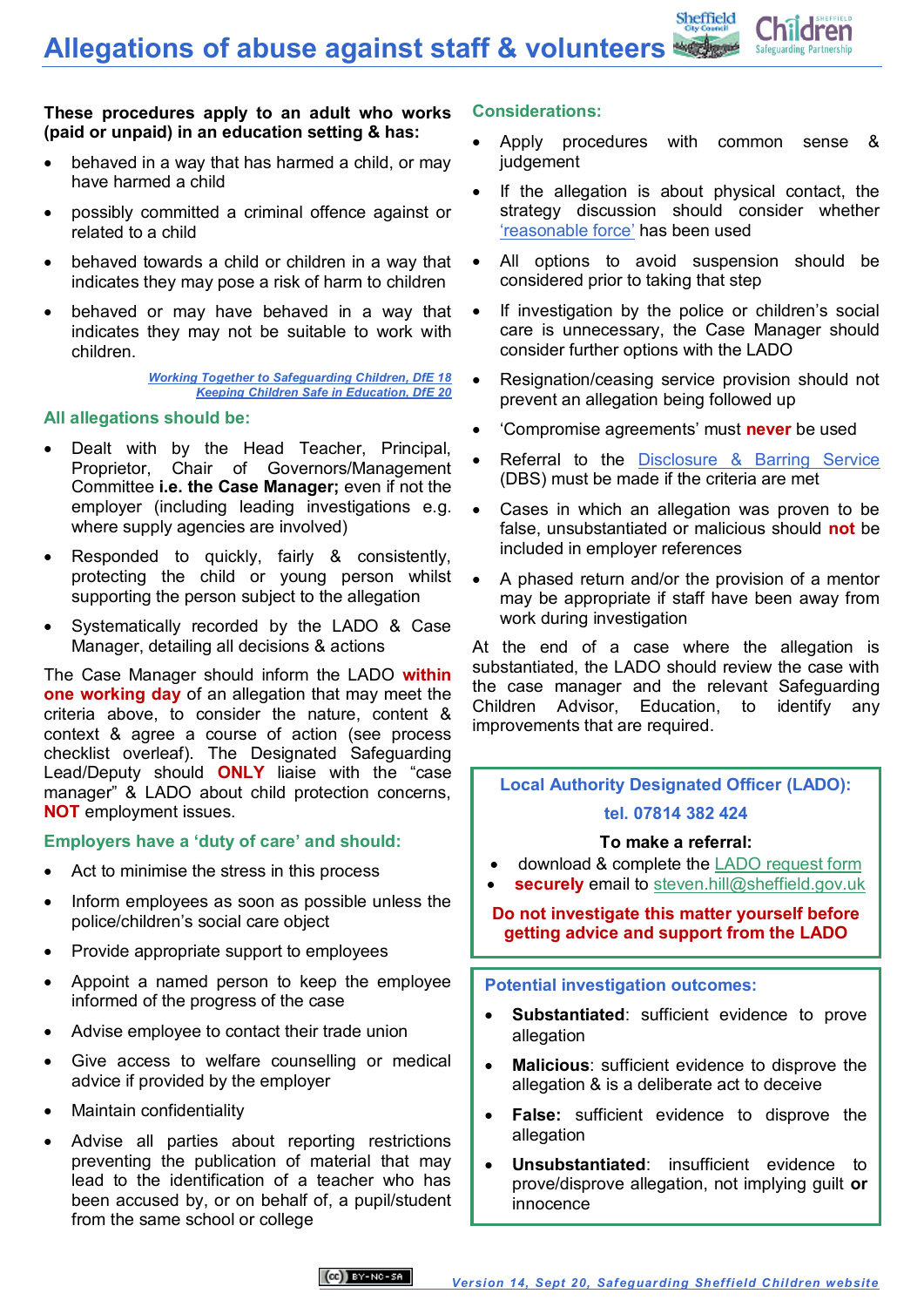**Allegations of abuse against staff & volunteers**



#### **These procedures apply to an adult who works (paid or unpaid) in an education setting & has:**

- behaved in a way that has harmed a child, or may have harmed a child
- possibly committed a criminal offence against or related to a child
- behaved towards a child or children in a way that indicates they may pose a risk of harm to children
- behaved or may have behaved in a way that indicates they may not be suitable to work with children.

*[Working Together to Safeguarding Children, DfE 18](https://www.gov.uk/government/publications/working-together-to-safeguard-children--2) [Keeping Children Safe in Education, DfE 20](https://www.gov.uk/government/publications/keeping-children-safe-in-education--2)*

# **All allegations should be:**

- Dealt with by the Head Teacher, Principal, Proprietor, Chair of Governors/Management Committee **i.e. the Case Manager;** even if not the employer (including leading investigations e.g. where supply agencies are involved)
- Responded to quickly, fairly & consistently, protecting the child or young person whilst supporting the person subject to the allegation
- Systematically recorded by the LADO & Case Manager, detailing all decisions & actions

The Case Manager should inform the LADO **within one working day** of an allegation that may meet the criteria above, to consider the nature, content & context & agree a course of action (see process checklist overleaf). The Designated Safeguarding Lead/Deputy should **ONLY** liaise with the "case manager" & LADO about child protection concerns, **NOT** employment issues.

# **Employers have a 'duty of care' and should:**

- Act to minimise the stress in this process
- Inform employees as soon as possible unless the police/children's social care object
- Provide appropriate support to employees
- Appoint a named person to keep the employee informed of the progress of the case
- Advise employee to contact their trade union
- Give access to welfare counselling or medical advice if provided by the employer
- Maintain confidentiality
- Advise all parties about reporting restrictions preventing the publication of material that may lead to the identification of a teacher who has been accused by, or on behalf of, a pupil/student from the same school or college

#### **Considerations:**

- Apply procedures with common sense & judgement
- If the allegation is about physical contact, the strategy discussion should consider whether ['reasonable force'](https://www.gov.uk/government/publications/use-of-reasonable-force-in-schools) has been used
- All options to avoid suspension should be considered prior to taking that step
- If investigation by the police or children's social care is unnecessary, the Case Manager should consider further options with the LADO
- Resignation/ceasing service provision should not prevent an allegation being followed up
- 'Compromise agreements' must **never** be used
- Referral to the [Disclosure & Barring Service](https://www.gov.uk/government/publications/dbs-referral-and-barring-decision-making-process) (DBS) must be made if the criteria are met
- Cases in which an allegation was proven to be false, unsubstantiated or malicious should **not** be included in employer references
- A phased return and/or the provision of a mentor may be appropriate if staff have been away from work during investigation

At the end of a case where the allegation is substantiated, the LADO should review the case with the case manager and the relevant Safeguarding Children Advisor, Education, to identify any improvements that are required.

# **Local Authority Designated Officer (LADO): tel. 07814 382 424**

#### **To make a referral:**

- download & complete the [LADO request form](http://www.safeguardingsheffieldchildren.org/sscb/safeguarding-information-and-resources/allegations-of-abuse-against-people-who-work-with-children)
- **securely** email to [steven.hill@sheffield.gov.uk](mailto:steven.hill@sheffield.gov.uk)

**Do not investigate this matter yourself before getting advice and support from the LADO**

# **Potential investigation outcomes:**

- **Substantiated**: sufficient evidence to prove allegation
- **Malicious**: sufficient evidence to disprove the allegation & is a deliberate act to deceive
- **False:** sufficient evidence to disprove the allegation
- **Unsubstantiated**: insufficient evidence to prove/disprove allegation, not implying guilt **or**  innocence